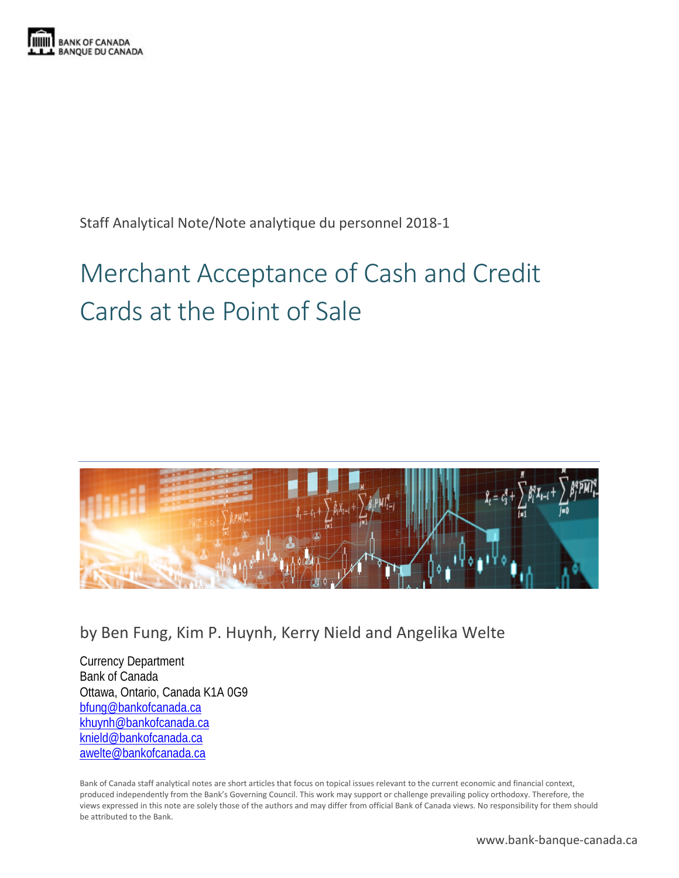

Staff Analytical Note/Note analytique du personnel 2018-1

# Merchant Acceptance of Cash and Credit Cards at the Point of Sale



by Ben Fung, Kim P. Huynh, Kerry Nield and Angelika Welte

Currency Department Bank of Canada Ottawa, Ontario, Canada K1A 0G9 [bfung@bankofcanada.ca](mailto:bfung@bankofcanada.ca) [khuynh@bankofcanada.ca](mailto:khuynh@bankofcanada.ca) [knield@bankofcanada.ca](mailto:knield@bankofcanada.ca) [awelte@bankofcanada.ca](mailto:awelte@bankofcanada.ca)

Bank of Canada staff analytical notes are short articles that focus on topical issues relevant to the current economic and financial context, produced independently from the Bank's Governing Council. This work may support or challenge prevailing policy orthodoxy. Therefore, the views expressed in this note are solely those of the authors and may differ from official Bank of Canada views. No responsibility for them should be attributed to the Bank.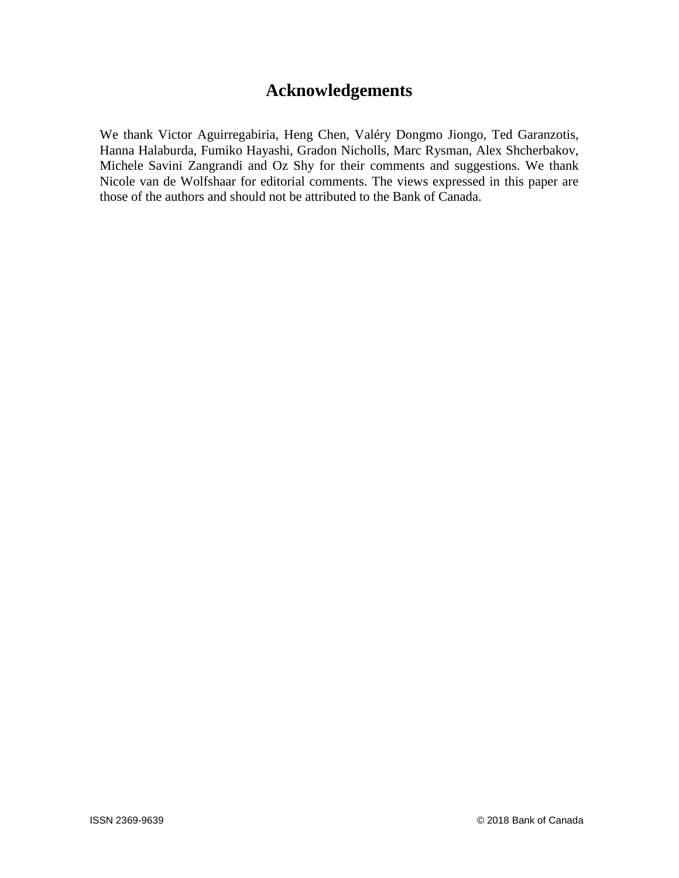# **Acknowledgements**

We thank Victor Aguirregabiria, Heng Chen, Valéry Dongmo Jiongo, Ted Garanzotis, Hanna Halaburda, Fumiko Hayashi, Gradon Nicholls, Marc Rysman, Alex Shcherbakov, Michele Savini Zangrandi and Oz Shy for their comments and suggestions. We thank Nicole van de Wolfshaar for editorial comments. The views expressed in this paper are those of the authors and should not be attributed to the Bank of Canada.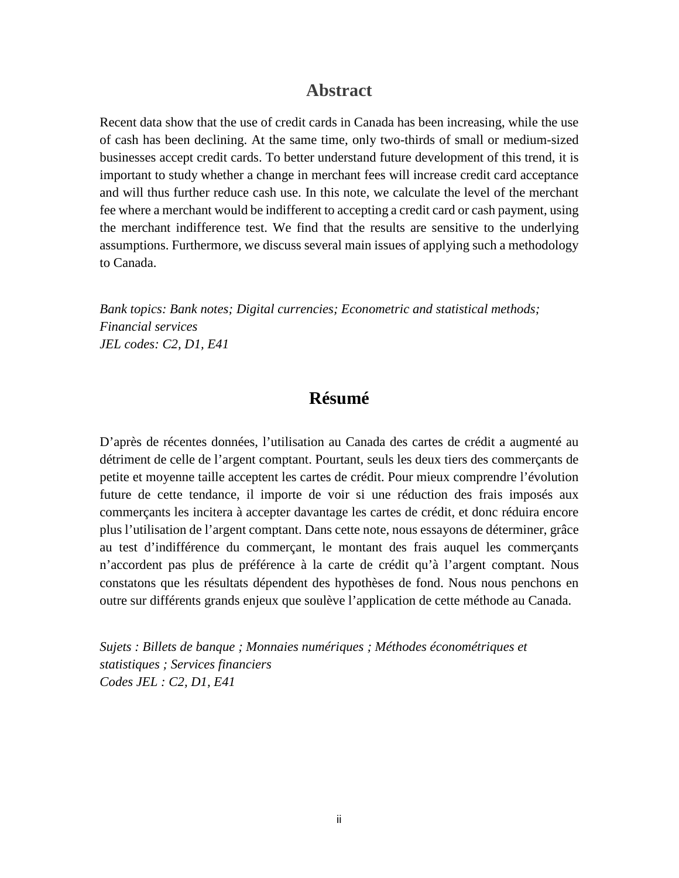# **Abstract**

Recent data show that the use of credit cards in Canada has been increasing, while the use of cash has been declining. At the same time, only two-thirds of small or medium-sized businesses accept credit cards. To better understand future development of this trend, it is important to study whether a change in merchant fees will increase credit card acceptance and will thus further reduce cash use. In this note, we calculate the level of the merchant fee where a merchant would be indifferent to accepting a credit card or cash payment, using the merchant indifference test. We find that the results are sensitive to the underlying assumptions. Furthermore, we discuss several main issues of applying such a methodology to Canada.

*Bank topics: Bank notes; Digital currencies; Econometric and statistical methods; Financial services JEL codes: C2, D1, E41*

# **Résumé**

D'après de récentes données, l'utilisation au Canada des cartes de crédit a augmenté au détriment de celle de l'argent comptant. Pourtant, seuls les deux tiers des commerçants de petite et moyenne taille acceptent les cartes de crédit. Pour mieux comprendre l'évolution future de cette tendance, il importe de voir si une réduction des frais imposés aux commerçants les incitera à accepter davantage les cartes de crédit, et donc réduira encore plus l'utilisation de l'argent comptant. Dans cette note, nous essayons de déterminer, grâce au test d'indifférence du commerçant, le montant des frais auquel les commerçants n'accordent pas plus de préférence à la carte de crédit qu'à l'argent comptant. Nous constatons que les résultats dépendent des hypothèses de fond. Nous nous penchons en outre sur différents grands enjeux que soulève l'application de cette méthode au Canada.

*Sujets : Billets de banque ; Monnaies numériques ; Méthodes économétriques et statistiques ; Services financiers Codes JEL : C2, D1, E41*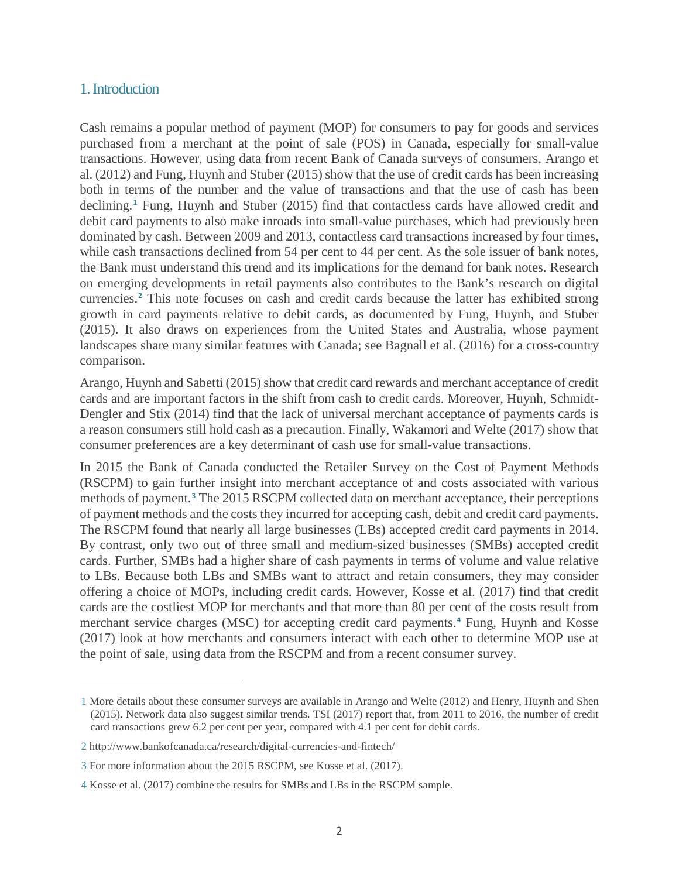#### 1. Introduction

 $\overline{a}$ 

Cash remains a popular method of payment (MOP) for consumers to pay for goods and services purchased from a merchant at the point of sale (POS) in Canada, especially for small-value transactions. However, using data from recent Bank of Canada surveys of consumers, Arango et al. (2012) and Fung, Huynh and Stuber (2015) show that the use of credit cards has been increasing both in terms of the number and the value of transactions and that the use of cash has been declining.**[1](#page-3-0)** Fung, Huynh and Stuber (2015) find that contactless cards have allowed credit and debit card payments to also make inroads into small-value purchases, which had previously been dominated by cash. Between 2009 and 2013, contactless card transactions increased by four times, while cash transactions declined from 54 per cent to 44 per cent. As the sole issuer of bank notes, the Bank must understand this trend and its implications for the demand for bank notes. Research on emerging developments in retail payments also contributes to the Bank's research on digital currencies. **[2](#page-3-1)** This note focuses on cash and credit cards because the latter has exhibited strong growth in card payments relative to debit cards, as documented by Fung, Huynh, and Stuber (2015). It also draws on experiences from the United States and Australia, whose payment landscapes share many similar features with Canada; see Bagnall et al. (2016) for a cross-country comparison.

Arango, Huynh and Sabetti (2015) show that credit card rewards and merchant acceptance of credit cards and are important factors in the shift from cash to credit cards. Moreover, Huynh, Schmidt-Dengler and Stix (2014) find that the lack of universal merchant acceptance of payments cards is a reason consumers still hold cash as a precaution. Finally, Wakamori and Welte (2017) show that consumer preferences are a key determinant of cash use for small-value transactions.

In 2015 the Bank of Canada conducted the Retailer Survey on the Cost of Payment Methods (RSCPM) to gain further insight into merchant acceptance of and costs associated with various methods of payment. **[3](#page-3-2)** The 2015 RSCPM collected data on merchant acceptance, their perceptions of payment methods and the costs they incurred for accepting cash, debit and credit card payments. The RSCPM found that nearly all large businesses (LBs) accepted credit card payments in 2014. By contrast, only two out of three small and medium-sized businesses (SMBs) accepted credit cards. Further, SMBs had a higher share of cash payments in terms of volume and value relative to LBs. Because both LBs and SMBs want to attract and retain consumers, they may consider offering a choice of MOPs, including credit cards. However, Kosse et al. (2017) find that credit cards are the costliest MOP for merchants and that more than 80 per cent of the costs result from merchant service charges (MSC) for accepting credit card payments.**[4](#page-3-3)** Fung, Huynh and Kosse (2017) look at how merchants and consumers interact with each other to determine MOP use at the point of sale, using data from the RSCPM and from a recent consumer survey.

<span id="page-3-0"></span><sup>1</sup> More details about these consumer surveys are available in Arango and Welte (2012) and Henry, Huynh and Shen (2015). Network data also suggest similar trends. TSI (2017) report that, from 2011 to 2016, the number of credit card transactions grew 6.2 per cent per year, compared with 4.1 per cent for debit cards.

<span id="page-3-1"></span><sup>2</sup> http://www.bankofcanada.ca/research/digital-currencies-and-fintech/

<span id="page-3-2"></span><sup>3</sup> For more information about the 2015 RSCPM, see Kosse et al. (2017).

<span id="page-3-3"></span><sup>4</sup> Kosse et al. (2017) combine the results for SMBs and LBs in the RSCPM sample.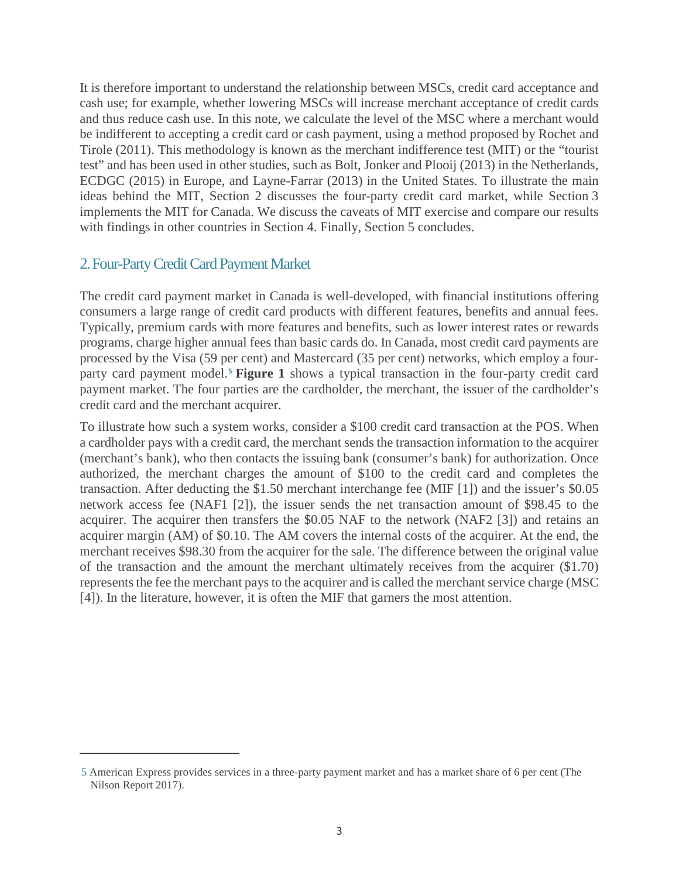It is therefore important to understand the relationship between MSCs, credit card acceptance and cash use; for example, whether lowering MSCs will increase merchant acceptance of credit cards and thus reduce cash use. In this note, we calculate the level of the MSC where a merchant would be indifferent to accepting a credit card or cash payment, using a method proposed by Rochet and Tirole (2011). This methodology is known as the merchant indifference test (MIT) or the "tourist test" and has been used in other studies, such as Bolt, Jonker and Plooij (2013) in the Netherlands, ECDGC (2015) in Europe, and Layne-Farrar (2013) in the United States. To illustrate the main ideas behind the MIT, Section 2 discusses the four-party credit card market, while Section 3 implements the MIT for Canada. We discuss the caveats of MIT exercise and compare our results with findings in other countries in Section 4. Finally, Section 5 concludes.

# 2. Four-Party Credit Card Payment Market

 $\overline{a}$ 

The credit card payment market in Canada is well-developed, with financial institutions offering consumers a large range of credit card products with different features, benefits and annual fees. Typically, premium cards with more features and benefits, such as lower interest rates or rewards programs, charge higher annual fees than basic cards do. In Canada, most credit card payments are processed by the Visa (59 per cent) and Mastercard (35 per cent) networks, which employ a fourparty card payment model. **[5](#page-4-0) Figure 1** shows a typical transaction in the four-party credit card payment market. The four parties are the cardholder, the merchant, the issuer of the cardholder's credit card and the merchant acquirer.

To illustrate how such a system works, consider a \$100 credit card transaction at the POS. When a cardholder pays with a credit card, the merchant sends the transaction information to the acquirer (merchant's bank), who then contacts the issuing bank (consumer's bank) for authorization. Once authorized, the merchant charges the amount of \$100 to the credit card and completes the transaction. After deducting the \$1.50 merchant interchange fee (MIF [1]) and the issuer's \$0.05 network access fee (NAF1 [2]), the issuer sends the net transaction amount of \$98.45 to the acquirer. The acquirer then transfers the \$0.05 NAF to the network (NAF2 [3]) and retains an acquirer margin (AM) of \$0.10. The AM covers the internal costs of the acquirer. At the end, the merchant receives \$98.30 from the acquirer for the sale. The difference between the original value of the transaction and the amount the merchant ultimately receives from the acquirer (\$1.70) represents the fee the merchant pays to the acquirer and is called the merchant service charge (MSC [4]). In the literature, however, it is often the MIF that garners the most attention.

<span id="page-4-0"></span><sup>5</sup> American Express provides services in a three-party payment market and has a market share of 6 per cent (The Nilson Report 2017).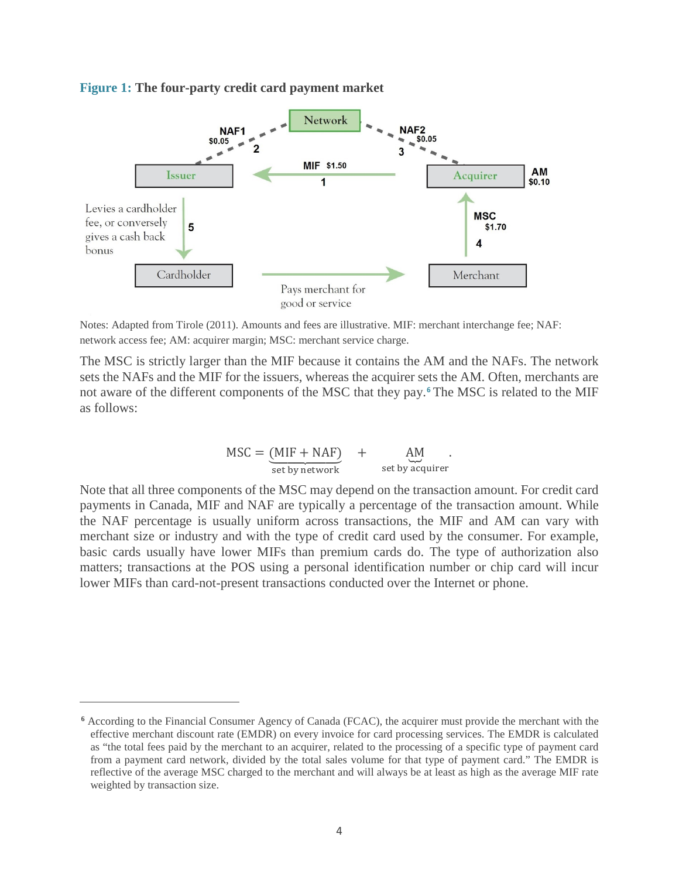#### **Figure 1: The four-party credit card payment market**



Notes: Adapted from Tirole (2011). Amounts and fees are illustrative. MIF: merchant interchange fee; NAF: network access fee; AM: acquirer margin; MSC: merchant service charge.

The MSC is strictly larger than the MIF because it contains the AM and the NAFs. The network sets the NAFs and the MIF for the issuers, whereas the acquirer sets the AM. Often, merchants are not aware of the different components of the MSC that they pay.**[6](#page-5-0)** The MSC is related to the MIF as follows:

$$
MSC = \underbrace{(MIF + NAF)}_{set by network} + \underbrace{AM}_{set by acquire}
$$

Note that all three components of the MSC may depend on the transaction amount. For credit card payments in Canada, MIF and NAF are typically a percentage of the transaction amount. While the NAF percentage is usually uniform across transactions, the MIF and AM can vary with merchant size or industry and with the type of credit card used by the consumer. For example, basic cards usually have lower MIFs than premium cards do. The type of authorization also matters; transactions at the POS using a personal identification number or chip card will incur lower MIFs than card-not-present transactions conducted over the Internet or phone.

 $\overline{a}$ 

<span id="page-5-0"></span>**<sup>6</sup>** According to the Financial Consumer Agency of Canada (FCAC), the acquirer must provide the merchant with the effective merchant discount rate (EMDR) on every invoice for card processing services. The EMDR is calculated as "the total fees paid by the merchant to an acquirer, related to the processing of a specific type of payment card from a payment card network, divided by the total sales volume for that type of payment card." The EMDR is reflective of the average MSC charged to the merchant and will always be at least as high as the average MIF rate weighted by transaction size.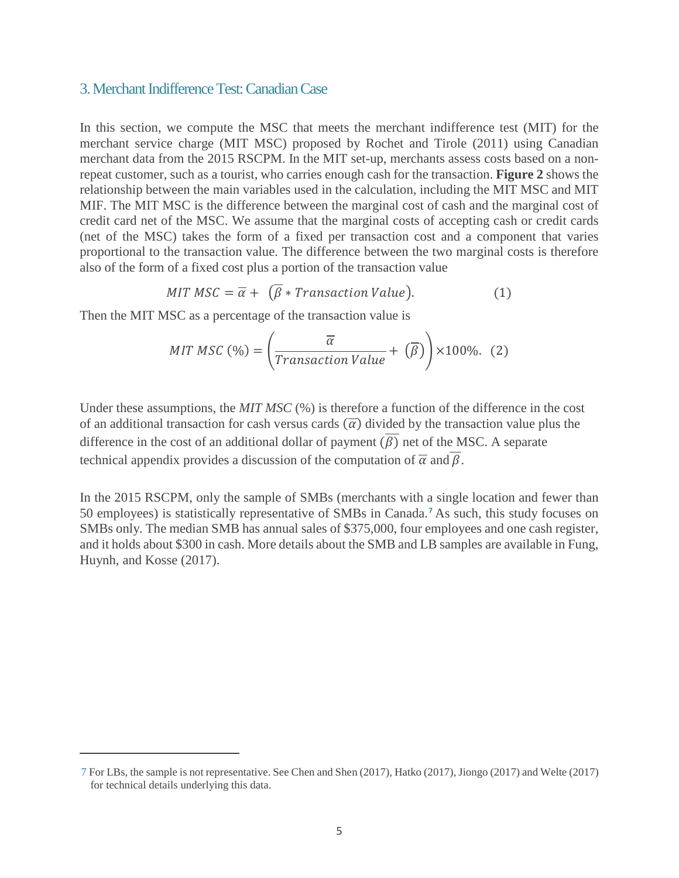#### 3. Merchant Indifference Test: Canadian Case

In this section, we compute the MSC that meets the merchant indifference test (MIT) for the merchant service charge (MIT MSC) proposed by Rochet and Tirole (2011) using Canadian merchant data from the 2015 RSCPM. In the MIT set-up, merchants assess costs based on a nonrepeat customer, such as a tourist, who carries enough cash for the transaction. **Figure 2** shows the relationship between the main variables used in the calculation, including the MIT MSC and MIT MIF. The MIT MSC is the difference between the marginal cost of cash and the marginal cost of credit card net of the MSC. We assume that the marginal costs of accepting cash or credit cards (net of the MSC) takes the form of a fixed per transaction cost and a component that varies proportional to the transaction value. The difference between the two marginal costs is therefore also of the form of a fixed cost plus a portion of the transaction value

$$
MIT \, MSC = \overline{\alpha} + (\beta * Transaction \, Value). \tag{1}
$$

Then the MIT MSC as a percentage of the transaction value is

 $\overline{a}$ 

$$
MIT MSC (\%) = \left(\frac{\overline{\alpha}}{Transaction Value} + (\overline{\beta})\right) \times 100\%.
$$
 (2)

Under these assumptions, the *MIT MSC* (%) is therefore a function of the difference in the cost of an additional transaction for cash versus cards  $(\overline{\alpha})$  divided by the transaction value plus the difference in the cost of an additional dollar of payment  $(\overline{\beta})$  net of the MSC. A separate technical appendix provides a discussion of the computation of  $\overline{\alpha}$  and  $\overline{\beta}$ .

In the 2015 RSCPM, only the sample of SMBs (merchants with a single location and fewer than 50 employees) is statistically representative of SMBs in Canada.**[7](#page-6-0)** As such, this study focuses on SMBs only. The median SMB has annual sales of \$375,000, four employees and one cash register, and it holds about \$300 in cash. More details about the SMB and LB samples are available in Fung, Huynh, and Kosse (2017).

<span id="page-6-0"></span><sup>7</sup> For LBs, the sample is not representative. See Chen and Shen (2017), Hatko (2017), Jiongo (2017) and Welte (2017) for technical details underlying this data.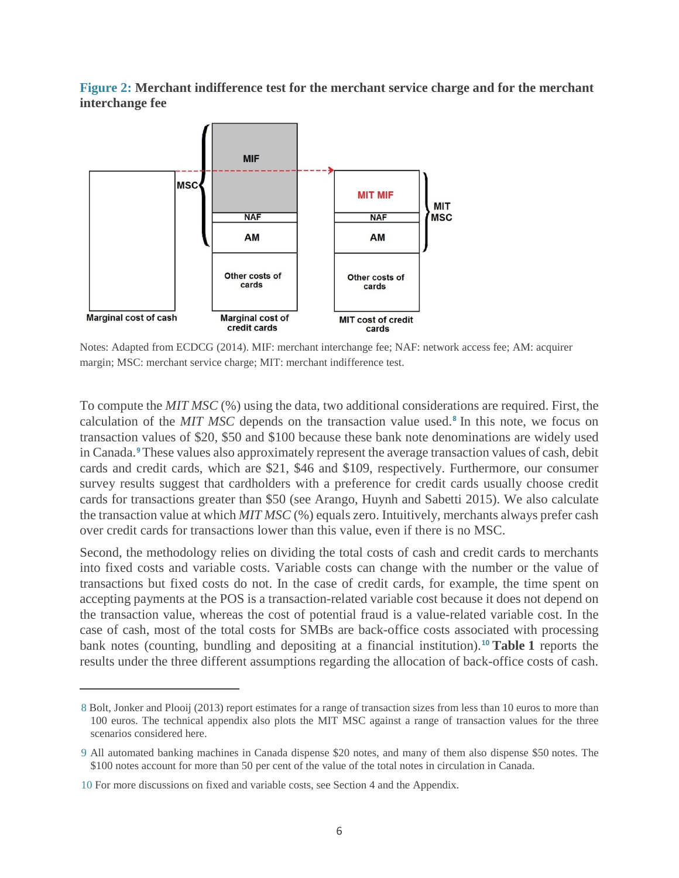**Figure 2: Merchant indifference test for the merchant service charge and for the merchant interchange fee**



Notes: Adapted from ECDCG (2014). MIF: merchant interchange fee; NAF: network access fee; AM: acquirer margin; MSC: merchant service charge; MIT: merchant indifference test.

To compute the *MIT MSC* (%) using the data, two additional considerations are required. First, the calculation of the *MIT MSC* depends on the transaction value used. **[8](#page-7-0)** In this note, we focus on transaction values of \$20, \$50 and \$100 because these bank note denominations are widely used in Canada. **[9](#page-7-1)**These values also approximately represent the average transaction values of cash, debit cards and credit cards, which are \$21, \$46 and \$109, respectively. Furthermore, our consumer survey results suggest that cardholders with a preference for credit cards usually choose credit cards for transactions greater than \$50 (see Arango, Huynh and Sabetti 2015). We also calculate the transaction value at which *MIT MSC* (%) equals zero. Intuitively, merchants always prefer cash over credit cards for transactions lower than this value, even if there is no MSC.

Second, the methodology relies on dividing the total costs of cash and credit cards to merchants into fixed costs and variable costs. Variable costs can change with the number or the value of transactions but fixed costs do not. In the case of credit cards, for example, the time spent on accepting payments at the POS is a transaction-related variable cost because it does not depend on the transaction value, whereas the cost of potential fraud is a value-related variable cost. In the case of cash, most of the total costs for SMBs are back-office costs associated with processing bank notes (counting, bundling and depositing at a financial institution). **[10](#page-7-2) Table 1** reports the results under the three different assumptions regarding the allocation of back-office costs of cash.

 $\overline{a}$ 

<span id="page-7-0"></span><sup>8</sup> Bolt, Jonker and Plooij (2013) report estimates for a range of transaction sizes from less than 10 euros to more than 100 euros. The technical appendix also plots the MIT MSC against a range of transaction values for the three scenarios considered here.

<span id="page-7-1"></span><sup>9</sup> All automated banking machines in Canada dispense \$20 notes, and many of them also dispense \$50 notes. The \$100 notes account for more than 50 per cent of the value of the total notes in circulation in Canada.

<span id="page-7-2"></span><sup>10</sup> For more discussions on fixed and variable costs, see Section 4 and the Appendix.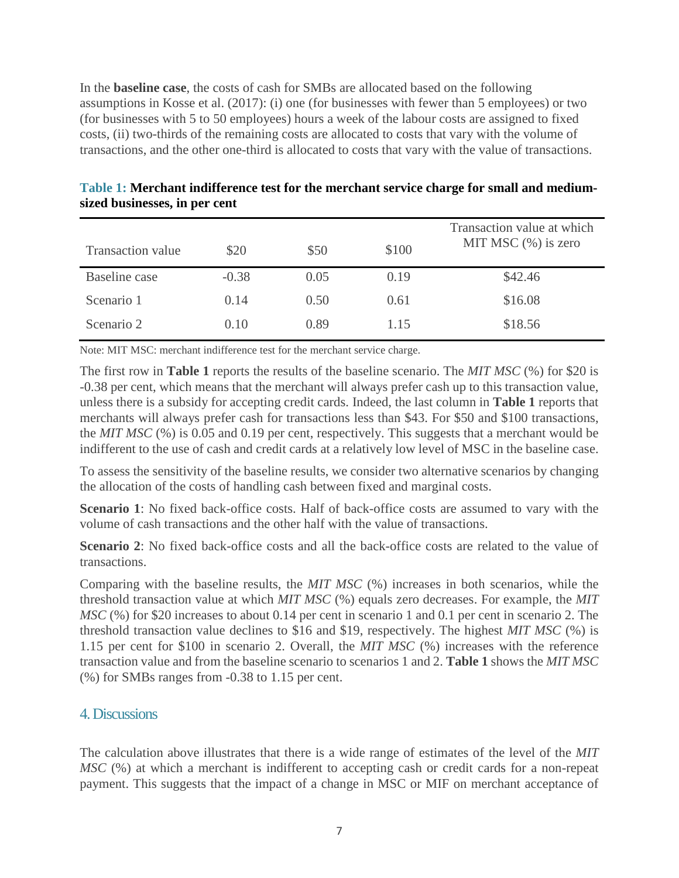In the **baseline case**, the costs of cash for SMBs are allocated based on the following assumptions in Kosse et al. (2017): (i) one (for businesses with fewer than 5 employees) or two (for businesses with 5 to 50 employees) hours a week of the labour costs are assigned to fixed costs, (ii) two-thirds of the remaining costs are allocated to costs that vary with the volume of transactions, and the other one-third is allocated to costs that vary with the value of transactions.

| Transaction value | \$20    | \$50 | \$100 | Transaction value at which<br>MIT MSC $(\%)$ is zero |
|-------------------|---------|------|-------|------------------------------------------------------|
| Baseline case     | $-0.38$ | 0.05 | 0.19  | \$42.46                                              |
| Scenario 1        | 0.14    | 0.50 | 0.61  | \$16.08                                              |
| Scenario 2        | 0.10    | 0.89 | 1.15  | \$18.56                                              |

## **Table 1: Merchant indifference test for the merchant service charge for small and mediumsized businesses, in per cent**

Note: MIT MSC: merchant indifference test for the merchant service charge.

The first row in **Table 1** reports the results of the baseline scenario. The *MIT MSC* (%) for \$20 is -0.38 per cent, which means that the merchant will always prefer cash up to this transaction value, unless there is a subsidy for accepting credit cards. Indeed, the last column in **Table 1** reports that merchants will always prefer cash for transactions less than \$43. For \$50 and \$100 transactions, the *MIT MSC* (%) is 0.05 and 0.19 per cent, respectively. This suggests that a merchant would be indifferent to the use of cash and credit cards at a relatively low level of MSC in the baseline case.

To assess the sensitivity of the baseline results, we consider two alternative scenarios by changing the allocation of the costs of handling cash between fixed and marginal costs.

**Scenario 1**: No fixed back-office costs. Half of back-office costs are assumed to vary with the volume of cash transactions and the other half with the value of transactions.

**Scenario 2:** No fixed back-office costs and all the back-office costs are related to the value of transactions.

Comparing with the baseline results, the *MIT MSC* (%) increases in both scenarios, while the threshold transaction value at which *MIT MSC* (%) equals zero decreases. For example, the *MIT MSC* (%) for \$20 increases to about 0.14 per cent in scenario 1 and 0.1 per cent in scenario 2. The threshold transaction value declines to \$16 and \$19, respectively. The highest *MIT MSC* (%) is 1.15 per cent for \$100 in scenario 2. Overall, the *MIT MSC* (%) increases with the reference transaction value and from the baseline scenario to scenarios 1 and 2. **Table 1** shows the *MIT MSC* (%) for SMBs ranges from -0.38 to 1.15 per cent.

#### 4. Discussions

The calculation above illustrates that there is a wide range of estimates of the level of the *MIT MSC* (%) at which a merchant is indifferent to accepting cash or credit cards for a non-repeat payment. This suggests that the impact of a change in MSC or MIF on merchant acceptance of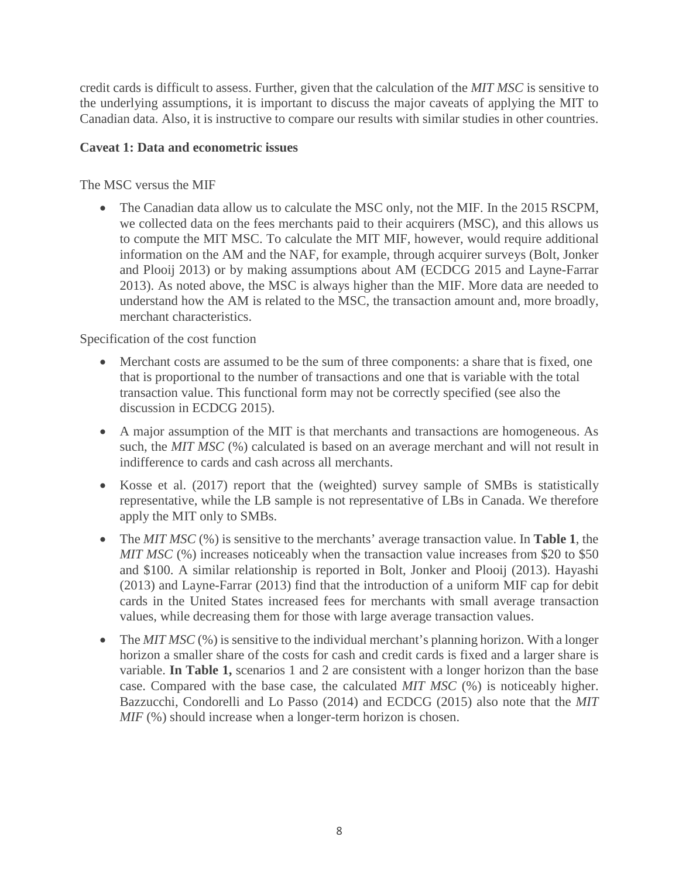credit cards is difficult to assess. Further, given that the calculation of the *MIT MSC* is sensitive to the underlying assumptions, it is important to discuss the major caveats of applying the MIT to Canadian data. Also, it is instructive to compare our results with similar studies in other countries.

#### **Caveat 1: Data and econometric issues**

The MSC versus the MIF

The Canadian data allow us to calculate the MSC only, not the MIF. In the 2015 RSCPM, we collected data on the fees merchants paid to their acquirers (MSC), and this allows us to compute the MIT MSC. To calculate the MIT MIF, however, would require additional information on the AM and the NAF, for example, through acquirer surveys (Bolt, Jonker and Plooij 2013) or by making assumptions about AM (ECDCG 2015 and Layne-Farrar 2013). As noted above, the MSC is always higher than the MIF. More data are needed to understand how the AM is related to the MSC, the transaction amount and, more broadly, merchant characteristics.

# Specification of the cost function

- Merchant costs are assumed to be the sum of three components: a share that is fixed, one that is proportional to the number of transactions and one that is variable with the total transaction value. This functional form may not be correctly specified (see also the discussion in ECDCG 2015).
- A major assumption of the MIT is that merchants and transactions are homogeneous. As such, the *MIT MSC* (%) calculated is based on an average merchant and will not result in indifference to cards and cash across all merchants.
- Kosse et al. (2017) report that the (weighted) survey sample of SMBs is statistically representative, while the LB sample is not representative of LBs in Canada. We therefore apply the MIT only to SMBs.
- The *MIT MSC* (%) is sensitive to the merchants' average transaction value. In **Table 1**, the *MIT MSC* (%) increases noticeably when the transaction value increases from \$20 to \$50 and \$100. A similar relationship is reported in Bolt, Jonker and Plooij (2013). Hayashi (2013) and Layne-Farrar (2013) find that the introduction of a uniform MIF cap for debit cards in the United States increased fees for merchants with small average transaction values, while decreasing them for those with large average transaction values.
- The *MIT MSC* (%) is sensitive to the individual merchant's planning horizon. With a longer horizon a smaller share of the costs for cash and credit cards is fixed and a larger share is variable. **In Table 1,** scenarios 1 and 2 are consistent with a longer horizon than the base case. Compared with the base case, the calculated *MIT MSC* (%) is noticeably higher. Bazzucchi, Condorelli and Lo Passo (2014) and ECDCG (2015) also note that the *MIT MIF* (%) should increase when a longer-term horizon is chosen.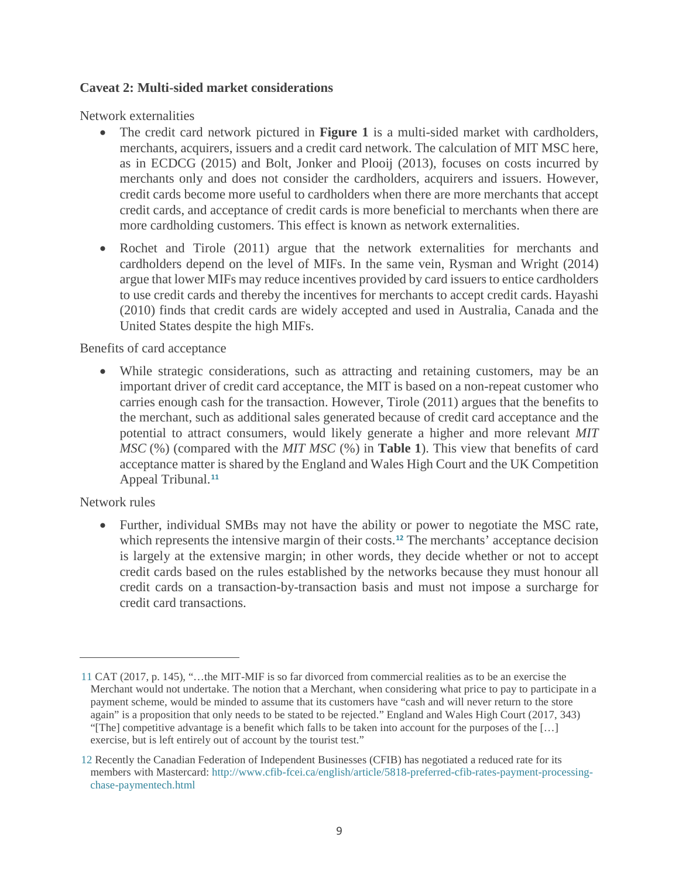#### **Caveat 2: Multi-sided market considerations**

Network externalities

- The credit card network pictured in **Figure 1** is a multi-sided market with cardholders, merchants, acquirers, issuers and a credit card network. The calculation of MIT MSC here, as in ECDCG (2015) and Bolt, Jonker and Plooij (2013), focuses on costs incurred by merchants only and does not consider the cardholders, acquirers and issuers. However, credit cards become more useful to cardholders when there are more merchants that accept credit cards, and acceptance of credit cards is more beneficial to merchants when there are more cardholding customers. This effect is known as network externalities.
- Rochet and Tirole (2011) argue that the network externalities for merchants and cardholders depend on the level of MIFs. In the same vein, Rysman and Wright (2014) argue that lower MIFs may reduce incentives provided by card issuers to entice cardholders to use credit cards and thereby the incentives for merchants to accept credit cards. Hayashi (2010) finds that credit cards are widely accepted and used in Australia, Canada and the United States despite the high MIFs.

Benefits of card acceptance

• While strategic considerations, such as attracting and retaining customers, may be an important driver of credit card acceptance, the MIT is based on a non-repeat customer who carries enough cash for the transaction. However, Tirole (2011) argues that the benefits to the merchant, such as additional sales generated because of credit card acceptance and the potential to attract consumers, would likely generate a higher and more relevant *MIT MSC* (%) (compared with the *MIT MSC* (%) in **Table 1**). This view that benefits of card acceptance matter is shared by the England and Wales High Court and the UK Competition Appeal Tribunal. **[11](#page-10-0)**

#### Network rules

 $\overline{a}$ 

• Further, individual SMBs may not have the ability or power to negotiate the MSC rate, which represents the intensive margin of their costs.<sup>[12](#page-10-1)</sup> The merchants' acceptance decision is largely at the extensive margin; in other words, they decide whether or not to accept credit cards based on the rules established by the networks because they must honour all credit cards on a transaction-by-transaction basis and must not impose a surcharge for credit card transactions.

<span id="page-10-0"></span><sup>11</sup> CAT (2017, p. 145), "…the MIT-MIF is so far divorced from commercial realities as to be an exercise the Merchant would not undertake. The notion that a Merchant, when considering what price to pay to participate in a payment scheme, would be minded to assume that its customers have "cash and will never return to the store again" is a proposition that only needs to be stated to be rejected." England and Wales High Court (2017, 343) "[The] competitive advantage is a benefit which falls to be taken into account for the purposes of the […] exercise, but is left entirely out of account by the tourist test."

<span id="page-10-1"></span><sup>12</sup> Recently the Canadian Federation of Independent Businesses (CFIB) has negotiated a reduced rate for its members with Mastercard: [http://www.cfib-fcei.ca/english/article/5818-preferred-cfib-rates-payment-processing](http://www.cfib-fcei.ca/english/article/5818-preferred-cfib-rates-payment-processing-chase-paymentech.html)[chase-paymentech.html](http://www.cfib-fcei.ca/english/article/5818-preferred-cfib-rates-payment-processing-chase-paymentech.html)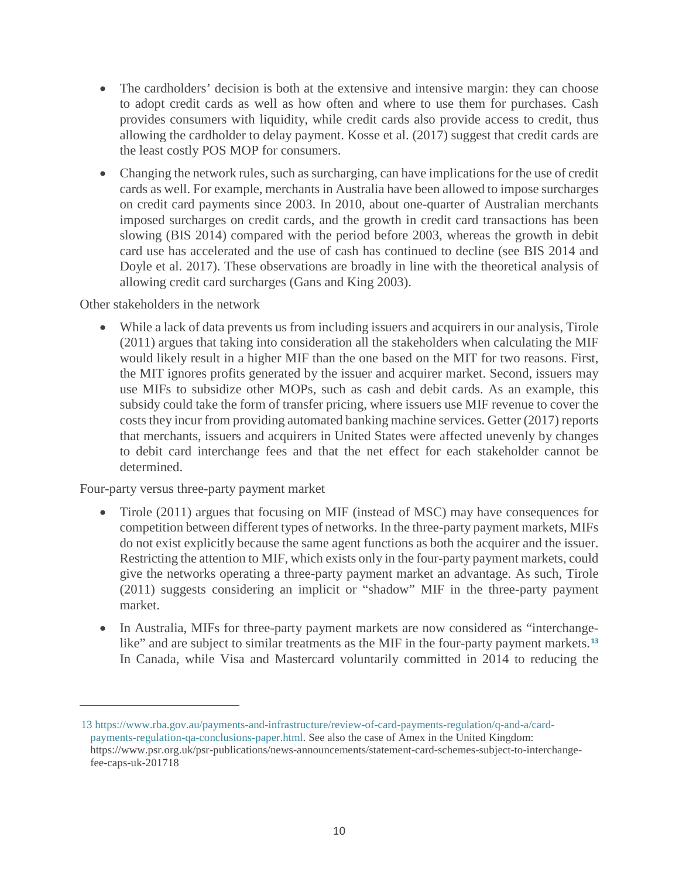- The cardholders' decision is both at the extensive and intensive margin: they can choose to adopt credit cards as well as how often and where to use them for purchases. Cash provides consumers with liquidity, while credit cards also provide access to credit, thus allowing the cardholder to delay payment. Kosse et al. (2017) suggest that credit cards are the least costly POS MOP for consumers.
- Changing the network rules, such as surcharging, can have implications for the use of credit cards as well. For example, merchants in Australia have been allowed to impose surcharges on credit card payments since 2003. In 2010, about one-quarter of Australian merchants imposed surcharges on credit cards, and the growth in credit card transactions has been slowing (BIS 2014) compared with the period before 2003, whereas the growth in debit card use has accelerated and the use of cash has continued to decline (see BIS 2014 and Doyle et al. 2017). These observations are broadly in line with the theoretical analysis of allowing credit card surcharges (Gans and King 2003).

Other stakeholders in the network

• While a lack of data prevents us from including issuers and acquirers in our analysis, Tirole (2011) argues that taking into consideration all the stakeholders when calculating the MIF would likely result in a higher MIF than the one based on the MIT for two reasons. First, the MIT ignores profits generated by the issuer and acquirer market. Second, issuers may use MIFs to subsidize other MOPs, such as cash and debit cards. As an example, this subsidy could take the form of transfer pricing, where issuers use MIF revenue to cover the costs they incur from providing automated banking machine services. Getter (2017) reports that merchants, issuers and acquirers in United States were affected unevenly by changes to debit card interchange fees and that the net effect for each stakeholder cannot be determined.

Four-party versus three-party payment market

 $\overline{a}$ 

- Tirole (2011) argues that focusing on MIF (instead of MSC) may have consequences for competition between different types of networks. In the three-party payment markets, MIFs do not exist explicitly because the same agent functions as both the acquirer and the issuer. Restricting the attention to MIF, which exists only in the four-party payment markets, could give the networks operating a three-party payment market an advantage. As such, Tirole (2011) suggests considering an implicit or "shadow" MIF in the three-party payment market.
- In Australia, MIFs for three-party payment markets are now considered as "interchange-like" and are subject to similar treatments as the MIF in the four-party payment markets.<sup>[13](#page-11-0)</sup> In Canada, while Visa and Mastercard voluntarily committed in 2014 to reducing the

<span id="page-11-0"></span><sup>13</sup> [https://www.rba.gov.au/payments-and-infrastructure/review-of-card-payments-regulation/q-and-a/card](https://www.rba.gov.au/payments-and-infrastructure/review-of-card-payments-regulation/q-and-a/card-payments-regulation-qa-conclusions-paper.html)[payments-regulation-qa-conclusions-paper.html.](https://www.rba.gov.au/payments-and-infrastructure/review-of-card-payments-regulation/q-and-a/card-payments-regulation-qa-conclusions-paper.html) See also the case of Amex in the United Kingdom: https://www.psr.org.uk/psr-publications/news-announcements/statement-card-schemes-subject-to-interchangefee-caps-uk-201718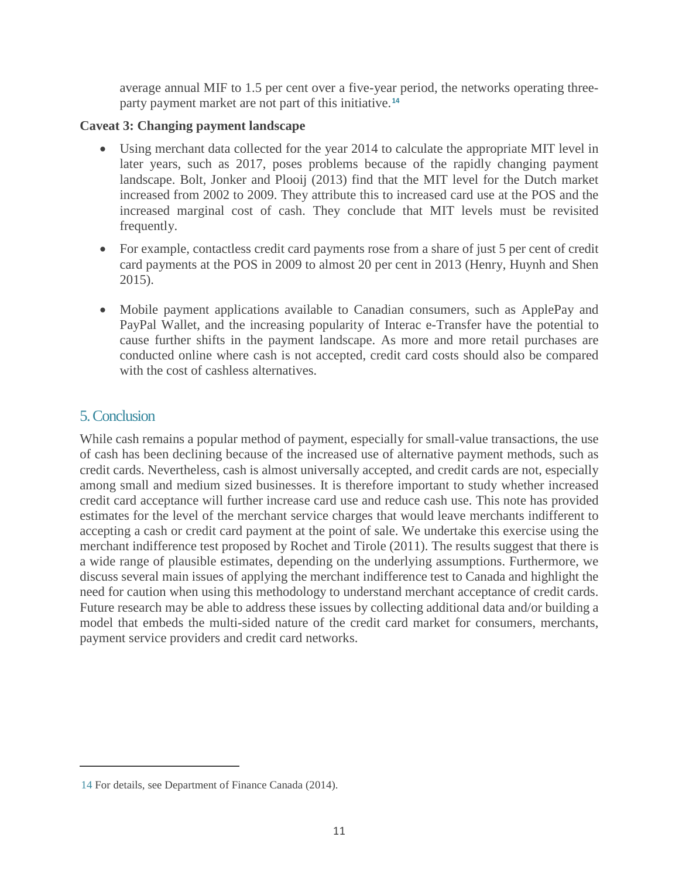average annual MIF to 1.5 per cent over a five-year period, the networks operating threeparty payment market are not part of this initiative. **[14](#page-12-0)**

#### **Caveat 3: Changing payment landscape**

- Using merchant data collected for the year 2014 to calculate the appropriate MIT level in later years, such as 2017, poses problems because of the rapidly changing payment landscape. Bolt, Jonker and Plooij (2013) find that the MIT level for the Dutch market increased from 2002 to 2009. They attribute this to increased card use at the POS and the increased marginal cost of cash. They conclude that MIT levels must be revisited frequently.
- For example, contactless credit card payments rose from a share of just 5 per cent of credit card payments at the POS in 2009 to almost 20 per cent in 2013 (Henry, Huynh and Shen 2015).
- Mobile payment applications available to Canadian consumers, such as ApplePay and PayPal Wallet, and the increasing popularity of Interac e-Transfer have the potential to cause further shifts in the payment landscape. As more and more retail purchases are conducted online where cash is not accepted, credit card costs should also be compared with the cost of cashless alternatives.

# 5. Conclusion

 $\overline{a}$ 

While cash remains a popular method of payment, especially for small-value transactions, the use of cash has been declining because of the increased use of alternative payment methods, such as credit cards. Nevertheless, cash is almost universally accepted, and credit cards are not, especially among small and medium sized businesses. It is therefore important to study whether increased credit card acceptance will further increase card use and reduce cash use. This note has provided estimates for the level of the merchant service charges that would leave merchants indifferent to accepting a cash or credit card payment at the point of sale. We undertake this exercise using the merchant indifference test proposed by Rochet and Tirole (2011). The results suggest that there is a wide range of plausible estimates, depending on the underlying assumptions. Furthermore, we discuss several main issues of applying the merchant indifference test to Canada and highlight the need for caution when using this methodology to understand merchant acceptance of credit cards. Future research may be able to address these issues by collecting additional data and/or building a model that embeds the multi-sided nature of the credit card market for consumers, merchants, payment service providers and credit card networks.

<span id="page-12-0"></span><sup>14</sup> For details, see Department of Finance Canada (2014).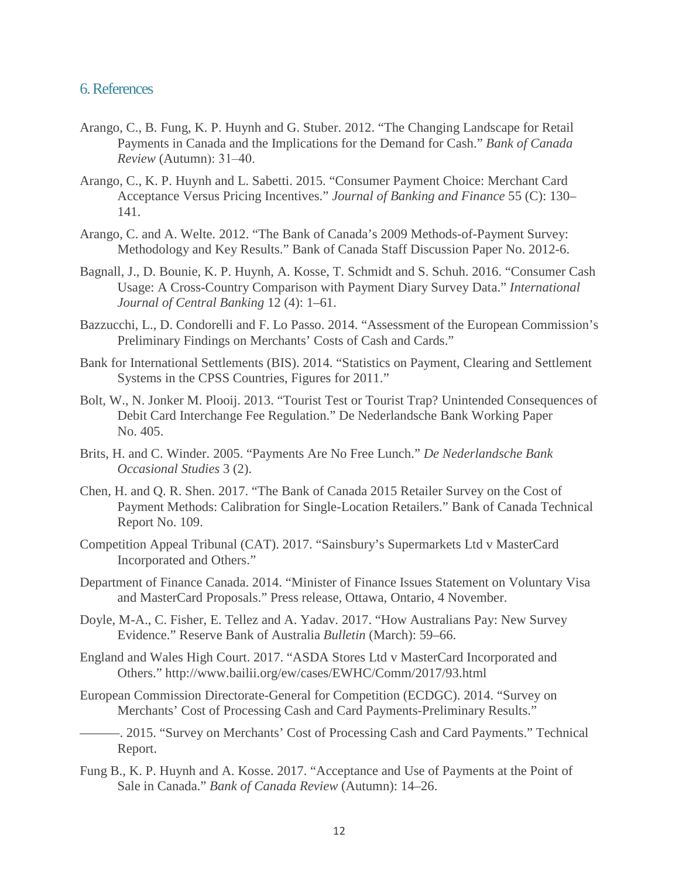#### 6. References

- Arango, C., B. Fung, K. P. Huynh and G. Stuber. 2012. "The Changing Landscape for Retail Payments in Canada and the Implications for the Demand for Cash." *Bank of Canada Review* (Autumn): 31‒40.
- Arango, C., K. P. Huynh and L. Sabetti. 2015. "Consumer Payment Choice: Merchant Card Acceptance Versus Pricing Incentives." *Journal of Banking and Finance* 55 (C): 130– 141.
- Arango, C. and A. Welte. 2012. "The Bank of Canada's 2009 Methods-of-Payment Survey: Methodology and Key Results." Bank of Canada Staff Discussion Paper No. 2012-6.
- Bagnall, J., D. Bounie, K. P. Huynh, A. Kosse, T. Schmidt and S. Schuh. 2016. "Consumer Cash Usage: A Cross-Country Comparison with Payment Diary Survey Data." *International Journal of Central Banking* 12 (4): 1–61.
- Bazzucchi, L., D. Condorelli and F. Lo Passo. 2014. "Assessment of the European Commission's Preliminary Findings on Merchants' Costs of Cash and Cards."
- Bank for International Settlements (BIS). 2014. "Statistics on Payment, Clearing and Settlement Systems in the CPSS Countries, Figures for 2011."
- Bolt, W., N. Jonker M. Plooij. 2013. "Tourist Test or Tourist Trap? Unintended Consequences of Debit Card Interchange Fee Regulation." De Nederlandsche Bank Working Paper No. 405.
- Brits, H. and C. Winder. 2005. "Payments Are No Free Lunch." *De Nederlandsche Bank Occasional Studies* 3 (2).
- Chen, H. and Q. R. Shen. 2017. "The Bank of Canada 2015 Retailer Survey on the Cost of Payment Methods: Calibration for Single-Location Retailers." Bank of Canada Technical Report No. 109.
- Competition Appeal Tribunal (CAT). 2017. "Sainsbury's Supermarkets Ltd v MasterCard Incorporated and Others."
- Department of Finance Canada. 2014. "Minister of Finance Issues Statement on Voluntary Visa and MasterCard Proposals." Press release, Ottawa, Ontario, 4 November.
- Doyle, M-A., C. Fisher, E. Tellez and A. Yadav. 2017. "How Australians Pay: New Survey Evidence." Reserve Bank of Australia *Bulletin* (March): 59–66.
- England and Wales High Court. 2017. "ASDA Stores Ltd v MasterCard Incorporated and Others."<http://www.bailii.org/ew/cases/EWHC/Comm/2017/93.html>
- European Commission Directorate-General for Competition (ECDGC). 2014. "Survey on Merchants' Cost of Processing Cash and Card Payments-Preliminary Results."
- ———. 2015. "Survey on Merchants' Cost of Processing Cash and Card Payments." Technical Report.
- Fung B., K. P. Huynh and A. Kosse. 2017. "Acceptance and Use of Payments at the Point of Sale in Canada." *Bank of Canada Review* (Autumn): 14–26.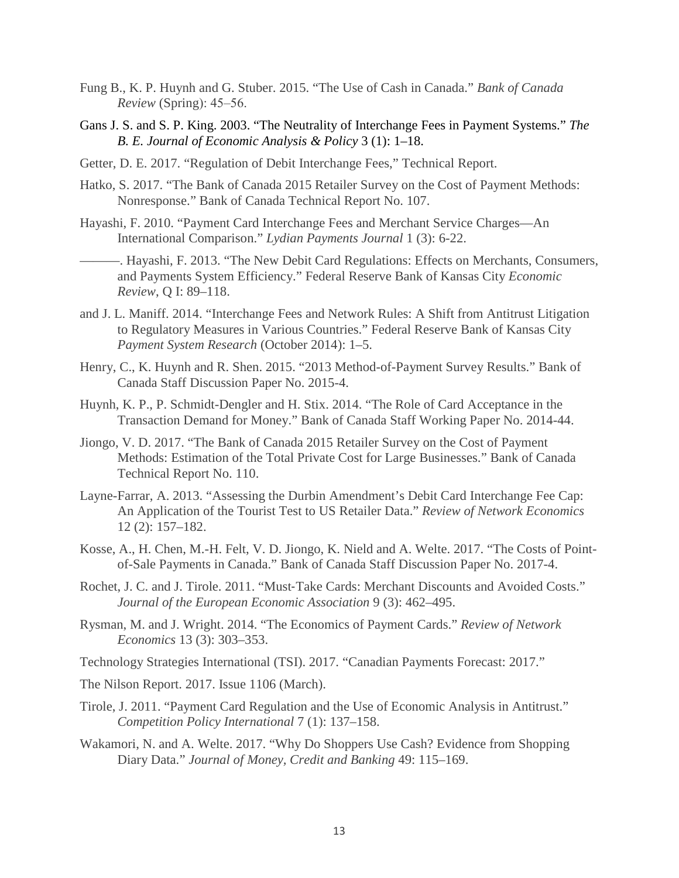- Fung B., K. P. Huynh and G. Stuber. 2015. "The Use of Cash in Canada." *Bank of Canada Review* (Spring): 45–56.
- Gans J. S. and S. P. King. 2003. "The Neutrality of Interchange Fees in Payment Systems." *The B. E. Journal of Economic Analysis & Policy* 3 (1): 1–18.
- Getter, D. E. 2017. "Regulation of Debit Interchange Fees," Technical Report.
- Hatko, S. 2017. "The Bank of Canada 2015 Retailer Survey on the Cost of Payment Methods: Nonresponse." Bank of Canada Technical Report No. 107.
- Hayashi, F. 2010. "Payment Card Interchange Fees and Merchant Service Charges—An International Comparison." *Lydian Payments Journal* 1 (3): 6-22.
- ———. Hayashi, F. 2013. "The New Debit Card Regulations: Effects on Merchants, Consumers, and Payments System Efficiency." Federal Reserve Bank of Kansas City *Economic Review*, Q I: 89–118.
- and J. L. Maniff. 2014. "Interchange Fees and Network Rules: A Shift from Antitrust Litigation to Regulatory Measures in Various Countries." Federal Reserve Bank of Kansas City *Payment System Research* (October 2014): 1–5.
- Henry, C., K. Huynh and R. Shen. 2015. "2013 Method-of-Payment Survey Results." Bank of Canada Staff Discussion Paper No. 2015-4.
- Huynh, K. P., P. Schmidt-Dengler and H. Stix. 2014. "The Role of Card Acceptance in the Transaction Demand for Money." Bank of Canada Staff Working Paper No. 2014-44.
- Jiongo, V. D. 2017. "The Bank of Canada 2015 Retailer Survey on the Cost of Payment Methods: Estimation of the Total Private Cost for Large Businesses." Bank of Canada Technical Report No. 110.
- Layne-Farrar, A. 2013. "Assessing the Durbin Amendment's Debit Card Interchange Fee Cap: An Application of the Tourist Test to US Retailer Data." *Review of Network Economics* 12 (2): 157–182.
- Kosse, A., H. Chen, M.-H. Felt, V. D. Jiongo, K. Nield and A. Welte. 2017. "The Costs of Pointof-Sale Payments in Canada." Bank of Canada Staff Discussion Paper No. 2017-4.
- Rochet, J. C. and J. Tirole. 2011. "Must-Take Cards: Merchant Discounts and Avoided Costs." *Journal of the European Economic Association* 9 (3): 462–495.
- Rysman, M. and J. Wright. 2014. "The Economics of Payment Cards." *Review of Network Economics* 13 (3): 303–353.
- Technology Strategies International (TSI). 2017. "Canadian Payments Forecast: 2017."
- The Nilson Report. 2017. Issue 1106 (March).
- Tirole, J. 2011. "Payment Card Regulation and the Use of Economic Analysis in Antitrust." *Competition Policy International* 7 (1): 137–158.
- Wakamori, N. and A. Welte. 2017. "Why Do Shoppers Use Cash? Evidence from Shopping Diary Data." *Journal of Money, Credit and Banking* 49: 115–169.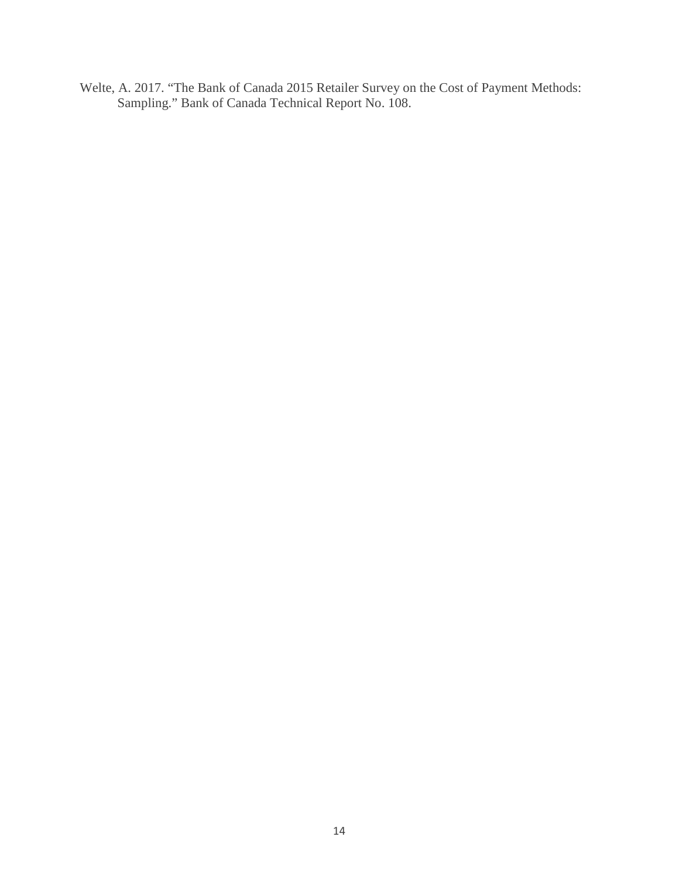Welte, A. 2017. "The Bank of Canada 2015 Retailer Survey on the Cost of Payment Methods: Sampling." Bank of Canada Technical Report No. 108.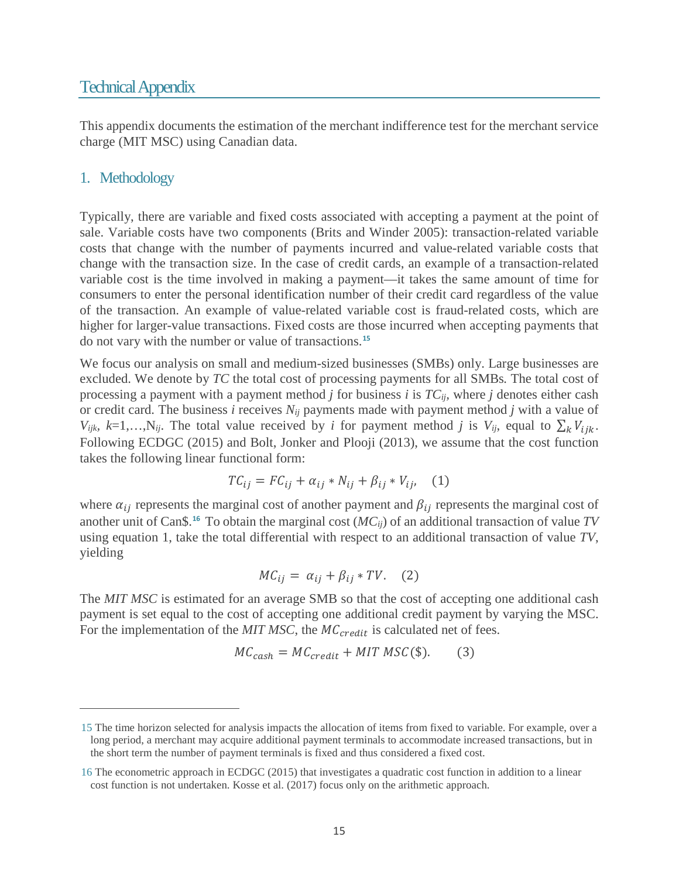# Technical Appendix

This appendix documents the estimation of the merchant indifference test for the merchant service charge (MIT MSC) using Canadian data.

## 1. Methodology

 $\overline{a}$ 

Typically, there are variable and fixed costs associated with accepting a payment at the point of sale. Variable costs have two components (Brits and Winder 2005): transaction-related variable costs that change with the number of payments incurred and value-related variable costs that change with the transaction size. In the case of credit cards, an example of a transaction-related variable cost is the time involved in making a payment—it takes the same amount of time for consumers to enter the personal identification number of their credit card regardless of the value of the transaction. An example of value-related variable cost is fraud-related costs, which are higher for larger-value transactions. Fixed costs are those incurred when accepting payments that do not vary with the number or value of transactions. **[15](#page-16-0)**

We focus our analysis on small and medium-sized businesses (SMBs) only. Large businesses are excluded. We denote by *TC* the total cost of processing payments for all SMBs*.* The total cost of processing a payment with a payment method *j* for business *i* is *TCij,* where *j* denotes either cash or credit card. The business *i* receives *Nij* payments made with payment method *j* with a value of *V<sub>ijk</sub>*,  $k=1,...,N_{ij}$ . The total value received by *i* for payment method *j* is *V<sub>ij</sub>*, equal to  $\sum_{k} V_{ijk}$ . Following ECDGC (2015) and Bolt, Jonker and Plooji (2013), we assume that the cost function takes the following linear functional form:

$$
TC_{ij} = FC_{ij} + \alpha_{ij} * N_{ij} + \beta_{ij} * V_{ij}, \quad (1)
$$

where  $\alpha_{ij}$  represents the marginal cost of another payment and  $\beta_{ij}$  represents the marginal cost of another unit of Can\$.**[16](#page-16-1)** To obtain the marginal cost (*MCij*) of an additional transaction of value *TV* using equation 1, take the total differential with respect to an additional transaction of value *TV*, yielding

$$
MC_{ij} = \alpha_{ij} + \beta_{ij} * TV. \quad (2)
$$

The *MIT MSC* is estimated for an average SMB so that the cost of accepting one additional cash payment is set equal to the cost of accepting one additional credit payment by varying the MSC. For the implementation of the  $MIT$   $MSC$ , the  $MC_{credit}$  is calculated net of fees.

$$
MC_{cash} = MC_{credit} + MIT \, MSC(\$).
$$
 (3)

<span id="page-16-0"></span><sup>15</sup> The time horizon selected for analysis impacts the allocation of items from fixed to variable. For example, over a long period, a merchant may acquire additional payment terminals to accommodate increased transactions, but in the short term the number of payment terminals is fixed and thus considered a fixed cost.

<span id="page-16-1"></span><sup>16</sup> The econometric approach in ECDGC (2015) that investigates a quadratic cost function in addition to a linear cost function is not undertaken. Kosse et al. (2017) focus only on the arithmetic approach.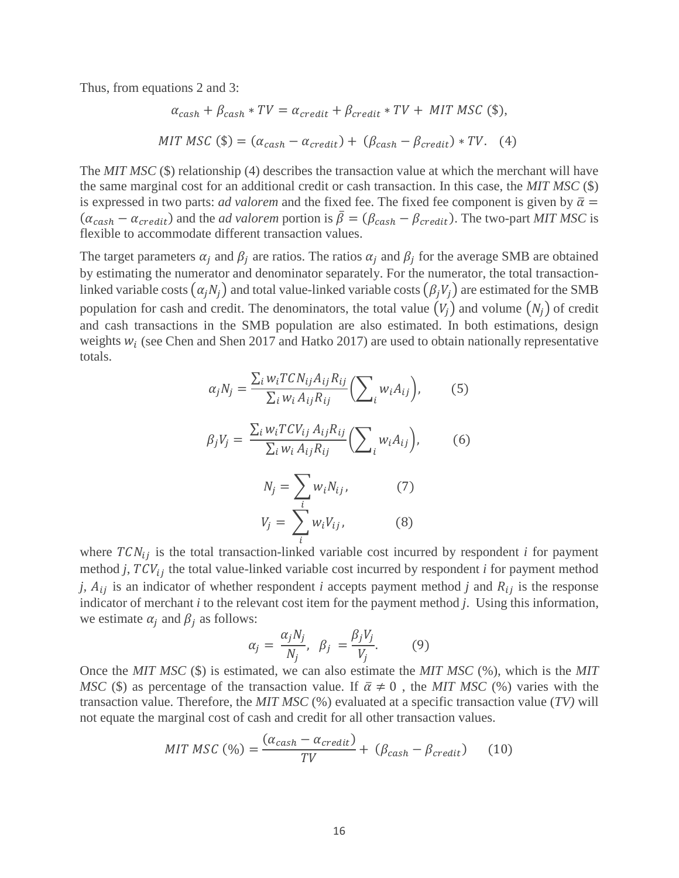Thus, from equations 2 and 3:

$$
\alpha_{cash} + \beta_{cash} * TV = \alpha_{credit} + \beta_{credit} * TV + MIT MSC \text{ ($\$)},
$$
  
MIT MSC \text{ (\$\$)} = (\alpha\_{cash} - \alpha\_{credit}) + (\beta\_{cash} - \beta\_{credit}) \* TV. \text{ (4)}

The *MIT MSC* (\$) relationship (4) describes the transaction value at which the merchant will have the same marginal cost for an additional credit or cash transaction. In this case, the *MIT MSC* (\$) is expressed in two parts: *ad valorem* and the fixed fee. The fixed fee component is given by  $\bar{\alpha}$  =  $(\alpha_{cash} - \alpha_{credit})$  and the *ad valorem* portion is  $\bar{\beta} = (\beta_{cash} - \beta_{credit})$ . The two-part *MIT MSC* is flexible to accommodate different transaction values.

The target parameters  $\alpha_i$  and  $\beta_i$  are ratios. The ratios  $\alpha_i$  and  $\beta_i$  for the average SMB are obtained by estimating the numerator and denominator separately. For the numerator, the total transactionlinked variable costs  $(\alpha_i N_i)$  and total value-linked variable costs  $(\beta_i V_i)$  are estimated for the SMB population for cash and credit. The denominators, the total value  $(V_i)$  and volume  $(N_i)$  of credit and cash transactions in the SMB population are also estimated. In both estimations, design weights  $w_i$  (see Chen and Shen 2017 and Hatko 2017) are used to obtain nationally representative totals.

$$
\alpha_j N_j = \frac{\sum_i w_i T C N_{ij} A_{ij} R_{ij}}{\sum_i w_i A_{ij} R_{ij}} \left( \sum_i w_i A_{ij} \right), \tag{5}
$$

$$
\beta_j V_j = \frac{\sum_i w_i T C V_{ij} A_{ij} R_{ij}}{\sum_i w_i A_{ij} R_{ij}} \left( \sum_i w_i A_{ij} \right), \tag{6}
$$

$$
N_j = \sum_i w_i N_{ij}, \qquad (7)
$$
  

$$
V_j = \sum_i w_i V_{ij}, \qquad (8)
$$

where  $TCN_{ij}$  is the total transaction-linked variable cost incurred by respondent *i* for payment method  $j$ ,  $TCV_{ij}$  the total value-linked variable cost incurred by respondent  $i$  for payment method *j*,  $A_{ij}$  is an indicator of whether respondent *i* accepts payment method *j* and  $R_{ij}$  is the response indicator of merchant *i* to the relevant cost item for the payment method *j*. Using this information, we estimate  $\alpha_i$  and  $\beta_i$  as follows:

$$
\alpha_j = \frac{\alpha_j N_j}{N_j}, \ \beta_j = \frac{\beta_j V_j}{V_j}.
$$
 (9)

Once the *MIT MSC* (\$) is estimated, we can also estimate the *MIT MSC* (%), which is the *MIT MSC* (\$) as percentage of the transaction value. If  $\bar{\alpha} \neq 0$ , the *MIT MSC* (%) varies with the transaction value. Therefore, the *MIT MSC* (%) evaluated at a specific transaction value (*TV)* will not equate the marginal cost of cash and credit for all other transaction values.

$$
MIT \, MSC \, (\%) = \frac{(\alpha_{cash} - \alpha_{credit})}{TV} + (\beta_{cash} - \beta_{credit}) \tag{10}
$$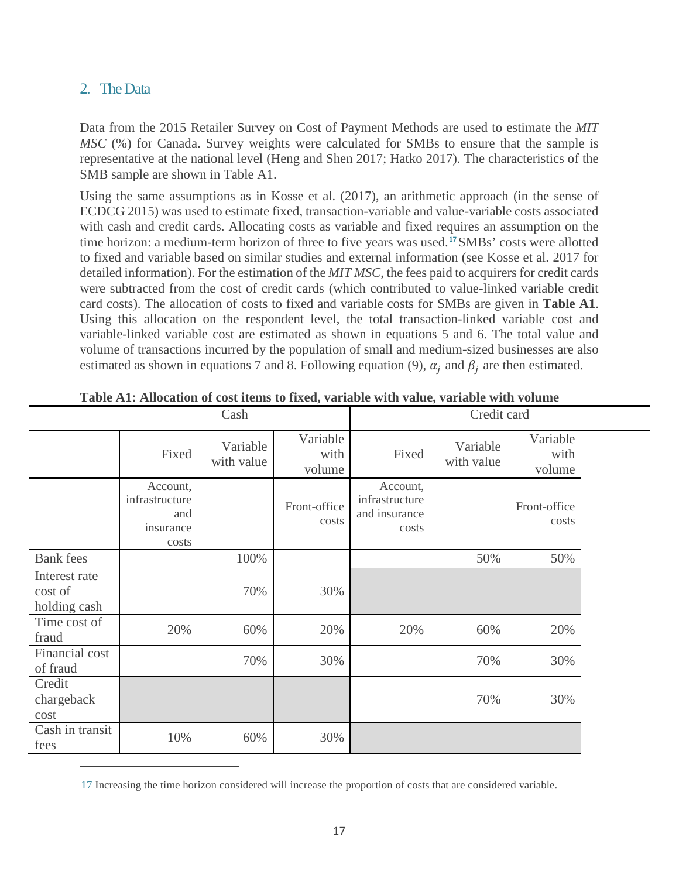# 2. The Data

 $\overline{a}$ 

Data from the 2015 Retailer Survey on Cost of Payment Methods are used to estimate the *MIT MSC* (%) for Canada. Survey weights were calculated for SMBs to ensure that the sample is representative at the national level (Heng and Shen 2017; Hatko 2017). The characteristics of the SMB sample are shown in Table A1.

Using the same assumptions as in Kosse et al. (2017), an arithmetic approach (in the sense of ECDCG 2015) was used to estimate fixed, transaction-variable and value-variable costs associated with cash and credit cards. Allocating costs as variable and fixed requires an assumption on the time horizon: a medium-term horizon of three to five years was used.**[17](#page-18-0)**SMBs' costs were allotted to fixed and variable based on similar studies and external information (see Kosse et al. 2017 for detailed information). For the estimation of the *MIT MSC*, the fees paid to acquirers for credit cards were subtracted from the cost of credit cards (which contributed to value-linked variable credit card costs). The allocation of costs to fixed and variable costs for SMBs are given in **Table A1**. Using this allocation on the respondent level, the total transaction-linked variable cost and variable-linked variable cost are estimated as shown in equations 5 and 6. The total value and volume of transactions incurred by the population of small and medium-sized businesses are also estimated as shown in equations 7 and 8. Following equation (9),  $\alpha_i$  and  $\beta_i$  are then estimated.

| Cash                                     |                                                         |                        |                            | Credit card                                          |                        |                            |  |
|------------------------------------------|---------------------------------------------------------|------------------------|----------------------------|------------------------------------------------------|------------------------|----------------------------|--|
|                                          | Fixed                                                   | Variable<br>with value | Variable<br>with<br>volume | Fixed                                                | Variable<br>with value | Variable<br>with<br>volume |  |
|                                          | Account,<br>infrastructure<br>and<br>insurance<br>costs |                        | Front-office<br>costs      | Account,<br>infrastructure<br>and insurance<br>costs |                        | Front-office<br>costs      |  |
| <b>Bank</b> fees                         |                                                         | 100%                   |                            |                                                      | 50%                    | 50%                        |  |
| Interest rate<br>cost of<br>holding cash |                                                         | 70%                    | 30%                        |                                                      |                        |                            |  |
| Time cost of<br>fraud                    | 20%                                                     | 60%                    | 20%                        | 20%                                                  | 60%                    | 20%                        |  |
| Financial cost<br>of fraud               |                                                         | 70%                    | 30%                        |                                                      | 70%                    | 30%                        |  |
| Credit<br>chargeback<br>cost             |                                                         |                        |                            |                                                      | 70%                    | 30%                        |  |
| Cash in transit<br>fees                  | 10%                                                     | 60%                    | 30%                        |                                                      |                        |                            |  |

| Table A1: Allocation of cost items to fixed, variable with value, variable with volume |  |  |
|----------------------------------------------------------------------------------------|--|--|
|----------------------------------------------------------------------------------------|--|--|

<span id="page-18-0"></span><sup>17</sup> Increasing the time horizon considered will increase the proportion of costs that are considered variable.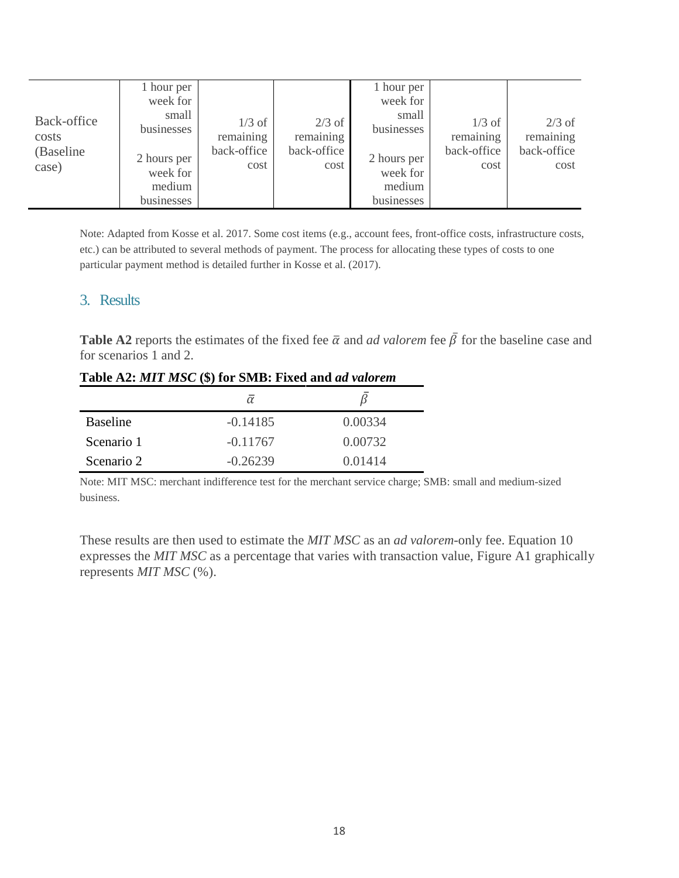| Back-office<br>costs<br>(Baseline<br>case) | 1 hour per<br>week for<br>small<br>businesses<br>2 hours per<br>week for<br>medium<br>businesses | $1/3$ of<br>remaining<br>back-office<br>cost | $2/3$ of<br>remaining<br>back-office<br>cost | 1 hour per<br>week for<br>small<br>businesses<br>2 hours per<br>week for<br>medium<br>businesses | $1/3$ of<br>remaining<br>back-office<br>cost | $2/3$ of<br>remaining<br>back-office<br>cost |
|--------------------------------------------|--------------------------------------------------------------------------------------------------|----------------------------------------------|----------------------------------------------|--------------------------------------------------------------------------------------------------|----------------------------------------------|----------------------------------------------|
|--------------------------------------------|--------------------------------------------------------------------------------------------------|----------------------------------------------|----------------------------------------------|--------------------------------------------------------------------------------------------------|----------------------------------------------|----------------------------------------------|

Note: Adapted from Kosse et al. 2017. Some cost items (e.g., account fees, front-office costs, infrastructure costs, etc.) can be attributed to several methods of payment. The process for allocating these types of costs to one particular payment method is detailed further in Kosse et al. (2017).

#### 3. Results

**Table A2** reports the estimates of the fixed fee  $\bar{\alpha}$  and *ad valorem* fee  $\bar{\beta}$  for the baseline case and for scenarios 1 and 2.

|                 | $\alpha$   |         |
|-----------------|------------|---------|
| <b>Baseline</b> | $-0.14185$ | 0.00334 |
| Scenario 1      | $-0.11767$ | 0.00732 |
| Scenario 2      | $-0.26239$ | 0.01414 |

#### **Table A2:** *MIT MSC* **(\$) for SMB: Fixed and** *ad valorem*

Note: MIT MSC: merchant indifference test for the merchant service charge; SMB: small and medium-sized business.

These results are then used to estimate the *MIT MSC* as an *ad valorem*-only fee. Equation 10 expresses the *MIT MSC* as a percentage that varies with transaction value, Figure A1 graphically represents *MIT MSC* (%).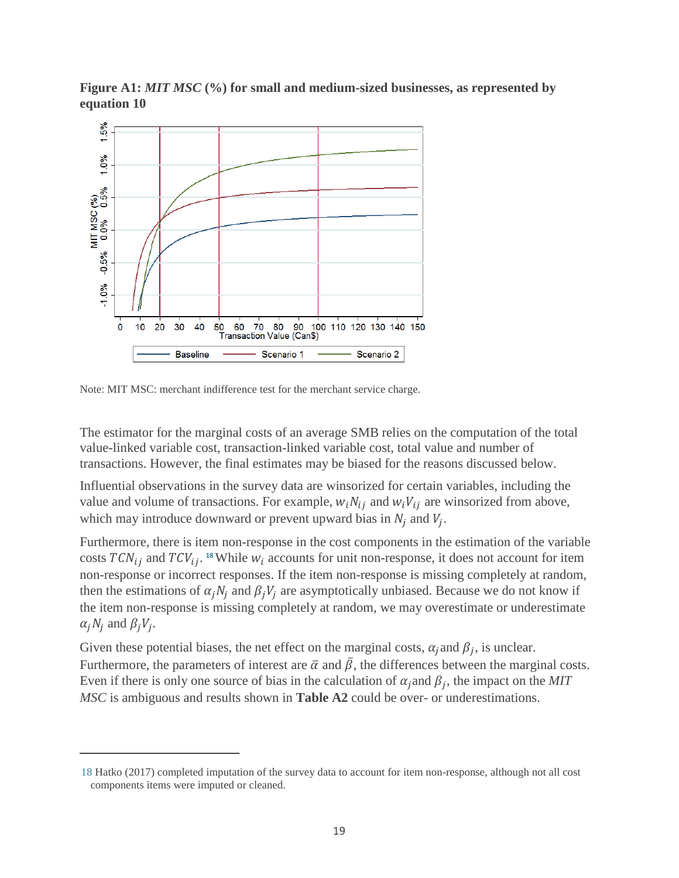![](_page_20_Figure_0.jpeg)

**Figure A1:** *MIT MSC* **(%) for small and medium-sized businesses, as represented by equation 10**

Note: MIT MSC: merchant indifference test for the merchant service charge.

 $\overline{a}$ 

The estimator for the marginal costs of an average SMB relies on the computation of the total value-linked variable cost, transaction-linked variable cost, total value and number of transactions. However, the final estimates may be biased for the reasons discussed below.

Influential observations in the survey data are winsorized for certain variables, including the value and volume of transactions. For example,  $w_i N_{ij}$  and  $w_i V_{ij}$  are winsorized from above, which may introduce downward or prevent upward bias in  $N_i$  and  $V_i$ .

Furthermore, there is item non-response in the cost components in the estimation of the variable costs  $TCN_{ij}$  and  $TCV_{ij}$ . <sup>[18](#page-20-0)</sup> While  $W_i$  accounts for unit non-response, it does not account for item non-response or incorrect responses. If the item non-response is missing completely at random, then the estimations of  $\alpha_j N_i$  and  $\beta_j V_j$  are asymptotically unbiased. Because we do not know if the item non-response is missing completely at random, we may overestimate or underestimate  $\alpha_i N_i$  and  $\beta_i V_i$ .

Given these potential biases, the net effect on the marginal costs,  $\alpha_i$  and  $\beta_i$ , is unclear. Furthermore, the parameters of interest are  $\bar{\alpha}$  and  $\bar{\beta}$ , the differences between the marginal costs. Even if there is only one source of bias in the calculation of  $\alpha_j$  and  $\beta_j$ , the impact on the *MIT MSC* is ambiguous and results shown in **Table A2** could be over- or underestimations.

<span id="page-20-0"></span><sup>18</sup> Hatko (2017) completed imputation of the survey data to account for item non-response, although not all cost components items were imputed or cleaned.